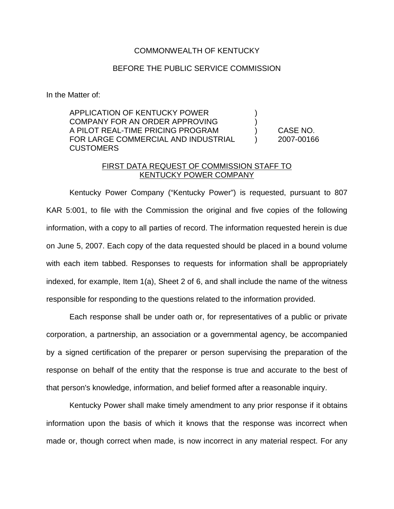## COMMONWEALTH OF KENTUCKY

## BEFORE THE PUBLIC SERVICE COMMISSION

In the Matter of:

APPLICATION OF KENTUCKY POWER  $)$ COMPANY FOR AN ORDER APPROVING ) A PILOT REAL-TIME PRICING PROGRAM ) CASE NO. FOR LARGE COMMERCIAL AND INDUSTRIAL ) 2007-00166 **CUSTOMERS** 

## FIRST DATA REQUEST OF COMMISSION STAFF TO KENTUCKY POWER COMPANY

Kentucky Power Company ("Kentucky Power") is requested, pursuant to 807 KAR 5:001, to file with the Commission the original and five copies of the following information, with a copy to all parties of record. The information requested herein is due on June 5, 2007. Each copy of the data requested should be placed in a bound volume with each item tabbed. Responses to requests for information shall be appropriately indexed, for example, Item 1(a), Sheet 2 of 6, and shall include the name of the witness responsible for responding to the questions related to the information provided.

Each response shall be under oath or, for representatives of a public or private corporation, a partnership, an association or a governmental agency, be accompanied by a signed certification of the preparer or person supervising the preparation of the response on behalf of the entity that the response is true and accurate to the best of that person's knowledge, information, and belief formed after a reasonable inquiry.

Kentucky Power shall make timely amendment to any prior response if it obtains information upon the basis of which it knows that the response was incorrect when made or, though correct when made, is now incorrect in any material respect. For any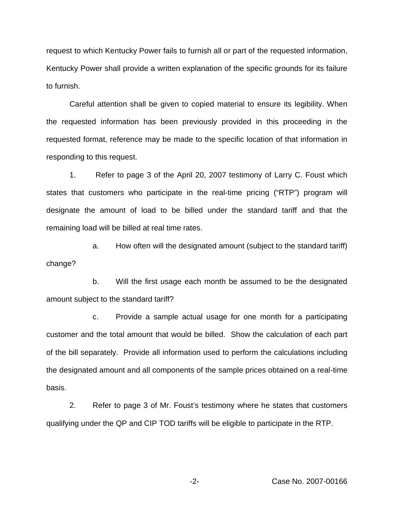request to which Kentucky Power fails to furnish all or part of the requested information, Kentucky Power shall provide a written explanation of the specific grounds for its failure to furnish.

Careful attention shall be given to copied material to ensure its legibility. When the requested information has been previously provided in this proceeding in the requested format, reference may be made to the specific location of that information in responding to this request.

1. Refer to page 3 of the April 20, 2007 testimony of Larry C. Foust which states that customers who participate in the real-time pricing ("RTP") program will designate the amount of load to be billed under the standard tariff and that the remaining load will be billed at real time rates.

a. How often will the designated amount (subject to the standard tariff) change?

b. Will the first usage each month be assumed to be the designated amount subject to the standard tariff?

c. Provide a sample actual usage for one month for a participating customer and the total amount that would be billed. Show the calculation of each part of the bill separately. Provide all information used to perform the calculations including the designated amount and all components of the sample prices obtained on a real-time basis.

2. Refer to page 3 of Mr. Foust's testimony where he states that customers qualifying under the QP and CIP TOD tariffs will be eligible to participate in the RTP.

-2- Case No. 2007-00166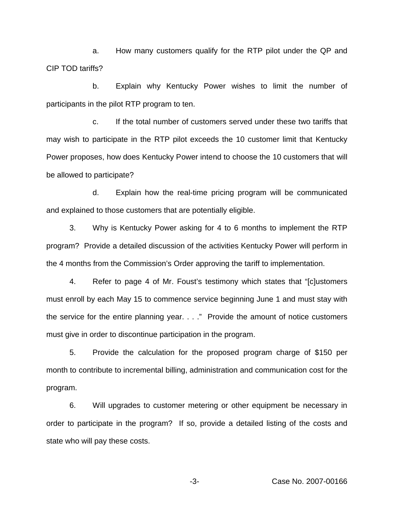a. How many customers qualify for the RTP pilot under the QP and CIP TOD tariffs?

b. Explain why Kentucky Power wishes to limit the number of participants in the pilot RTP program to ten.

c. If the total number of customers served under these two tariffs that may wish to participate in the RTP pilot exceeds the 10 customer limit that Kentucky Power proposes, how does Kentucky Power intend to choose the 10 customers that will be allowed to participate?

d. Explain how the real-time pricing program will be communicated and explained to those customers that are potentially eligible.

3. Why is Kentucky Power asking for 4 to 6 months to implement the RTP program? Provide a detailed discussion of the activities Kentucky Power will perform in the 4 months from the Commission's Order approving the tariff to implementation.

4. Refer to page 4 of Mr. Foust's testimony which states that "[c]ustomers must enroll by each May 15 to commence service beginning June 1 and must stay with the service for the entire planning year. . . ." Provide the amount of notice customers must give in order to discontinue participation in the program.

5. Provide the calculation for the proposed program charge of \$150 per month to contribute to incremental billing, administration and communication cost for the program.

6. Will upgrades to customer metering or other equipment be necessary in order to participate in the program? If so, provide a detailed listing of the costs and state who will pay these costs.

-3- Case No. 2007-00166